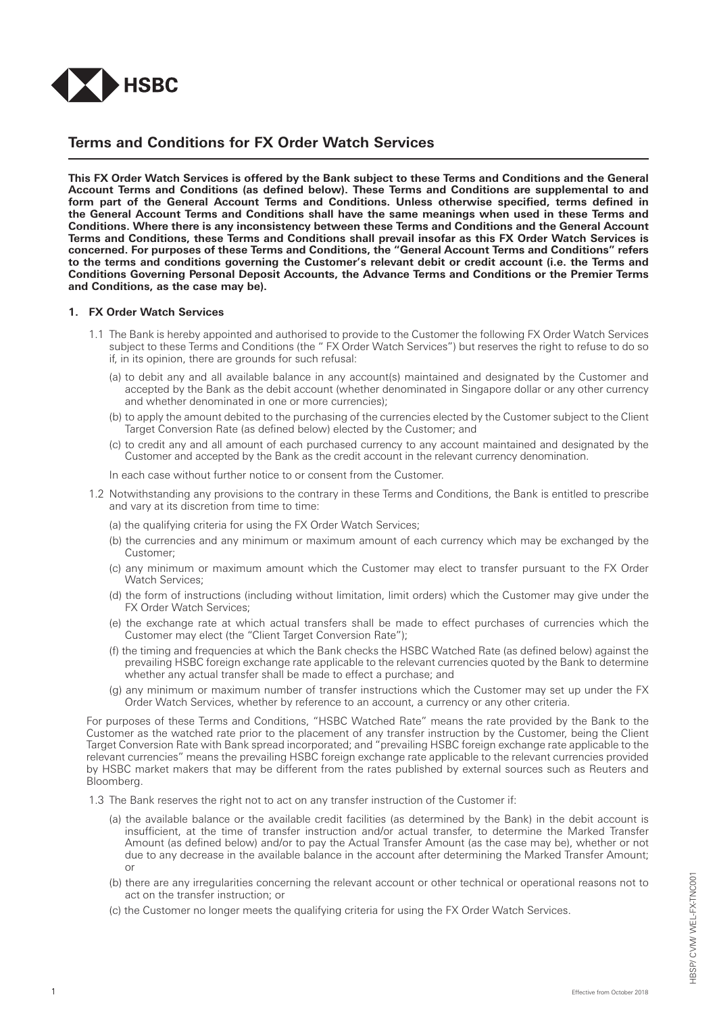

# **Terms and Conditions for FX Order Watch Services**

**This FX Order Watch Services is offered by the Bank subject to these Terms and Conditions and the General Account Terms and Conditions (as defined below). These Terms and Conditions are supplemental to and form part of the General Account Terms and Conditions. Unless otherwise specified, terms defined in the General Account Terms and Conditions shall have the same meanings when used in these Terms and Conditions. Where there is any inconsistency between these Terms and Conditions and the General Account Terms and Conditions, these Terms and Conditions shall prevail insofar as this FX Order Watch Services is concerned. For purposes of these Terms and Conditions, the "General Account Terms and Conditions" refers to the terms and conditions governing the Customer's relevant debit or credit account (i.e. the Terms and Conditions Governing Personal Deposit Accounts, the Advance Terms and Conditions or the Premier Terms and Conditions, as the case may be).**

#### **1. FX Order Watch Services**

- 1.1 The Bank is hereby appointed and authorised to provide to the Customer the following FX Order Watch Services subject to these Terms and Conditions (the " FX Order Watch Services") but reserves the right to refuse to do so if, in its opinion, there are grounds for such refusal:
	- (a) to debit any and all available balance in any account(s) maintained and designated by the Customer and accepted by the Bank as the debit account (whether denominated in Singapore dollar or any other currency and whether denominated in one or more currencies);
	- (b) to apply the amount debited to the purchasing of the currencies elected by the Customer subject to the Client Target Conversion Rate (as defined below) elected by the Customer; and
	- (c) to credit any and all amount of each purchased currency to any account maintained and designated by the Customer and accepted by the Bank as the credit account in the relevant currency denomination.

In each case without further notice to or consent from the Customer.

- 1.2 Notwithstanding any provisions to the contrary in these Terms and Conditions, the Bank is entitled to prescribe and vary at its discretion from time to time:
	- (a) the qualifying criteria for using the FX Order Watch Services;
	- (b) the currencies and any minimum or maximum amount of each currency which may be exchanged by the Customer;
	- (c) any minimum or maximum amount which the Customer may elect to transfer pursuant to the FX Order Watch Services;
	- (d) the form of instructions (including without limitation, limit orders) which the Customer may give under the FX Order Watch Services;
	- (e) the exchange rate at which actual transfers shall be made to effect purchases of currencies which the Customer may elect (the "Client Target Conversion Rate");
	- (f) the timing and frequencies at which the Bank checks the HSBC Watched Rate (as defined below) against the prevailing HSBC foreign exchange rate applicable to the relevant currencies quoted by the Bank to determine whether any actual transfer shall be made to effect a purchase; and
	- (g) any minimum or maximum number of transfer instructions which the Customer may set up under the FX Order Watch Services, whether by reference to an account, a currency or any other criteria.

For purposes of these Terms and Conditions, "HSBC Watched Rate" means the rate provided by the Bank to the Customer as the watched rate prior to the placement of any transfer instruction by the Customer, being the Client Target Conversion Rate with Bank spread incorporated; and "prevailing HSBC foreign exchange rate applicable to the relevant currencies" means the prevailing HSBC foreign exchange rate applicable to the relevant currencies provided by HSBC market makers that may be different from the rates published by external sources such as Reuters and Bloomberg.

- 1.3 The Bank reserves the right not to act on any transfer instruction of the Customer if:
	- (a) the available balance or the available credit facilities (as determined by the Bank) in the debit account is insufficient, at the time of transfer instruction and/or actual transfer, to determine the Marked Transfer Amount (as defined below) and/or to pay the Actual Transfer Amount (as the case may be), whether or not due to any decrease in the available balance in the account after determining the Marked Transfer Amount; or
	- (b) there are any irregularities concerning the relevant account or other technical or operational reasons not to act on the transfer instruction; or
	- (c) the Customer no longer meets the qualifying criteria for using the FX Order Watch Services.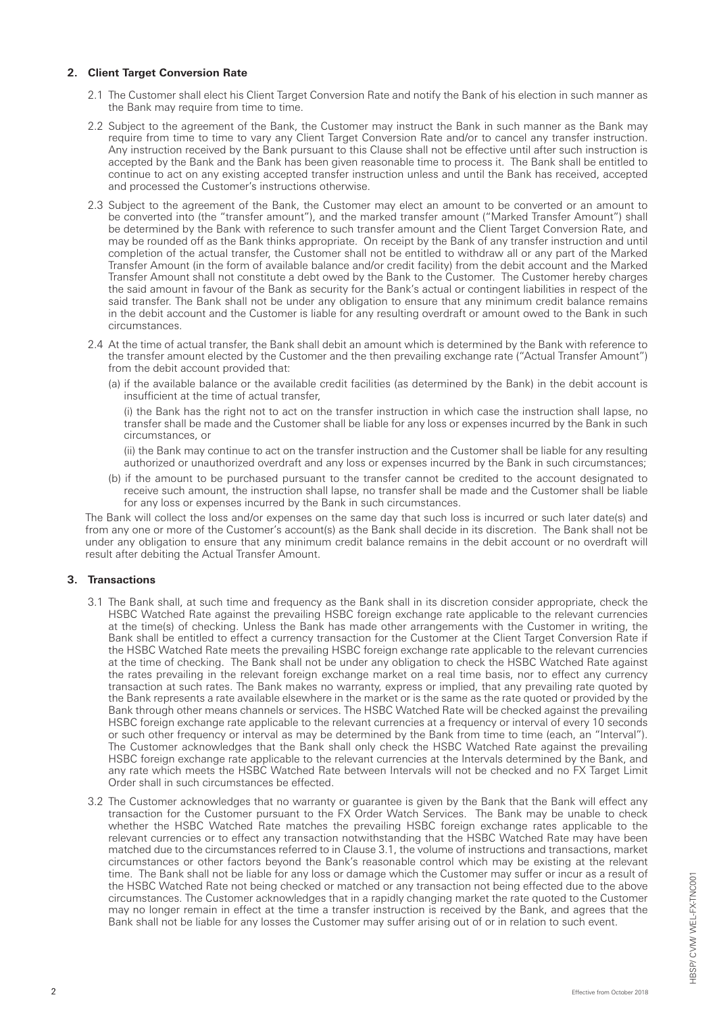### **2. Client Target Conversion Rate**

- 2.1 The Customer shall elect his Client Target Conversion Rate and notify the Bank of his election in such manner as the Bank may require from time to time.
- 2.2 Subject to the agreement of the Bank, the Customer may instruct the Bank in such manner as the Bank may require from time to time to vary any Client Target Conversion Rate and/or to cancel any transfer instruction. Any instruction received by the Bank pursuant to this Clause shall not be effective until after such instruction is accepted by the Bank and the Bank has been given reasonable time to process it. The Bank shall be entitled to continue to act on any existing accepted transfer instruction unless and until the Bank has received, accepted and processed the Customer's instructions otherwise.
- 2.3 Subject to the agreement of the Bank, the Customer may elect an amount to be converted or an amount to be converted into (the "transfer amount"), and the marked transfer amount ("Marked Transfer Amount") shall be determined by the Bank with reference to such transfer amount and the Client Target Conversion Rate, and may be rounded off as the Bank thinks appropriate. On receipt by the Bank of any transfer instruction and until completion of the actual transfer, the Customer shall not be entitled to withdraw all or any part of the Marked Transfer Amount (in the form of available balance and/or credit facility) from the debit account and the Marked Transfer Amount shall not constitute a debt owed by the Bank to the Customer. The Customer hereby charges the said amount in favour of the Bank as security for the Bank's actual or contingent liabilities in respect of the said transfer. The Bank shall not be under any obligation to ensure that any minimum credit balance remains in the debit account and the Customer is liable for any resulting overdraft or amount owed to the Bank in such circumstances.
- 2.4 At the time of actual transfer, the Bank shall debit an amount which is determined by the Bank with reference to the transfer amount elected by the Customer and the then prevailing exchange rate ("Actual Transfer Amount") from the debit account provided that:
	- (a) if the available balance or the available credit facilities (as determined by the Bank) in the debit account is insufficient at the time of actual transfer,

(i) the Bank has the right not to act on the transfer instruction in which case the instruction shall lapse, no transfer shall be made and the Customer shall be liable for any loss or expenses incurred by the Bank in such circumstances, or

(ii) the Bank may continue to act on the transfer instruction and the Customer shall be liable for any resulting authorized or unauthorized overdraft and any loss or expenses incurred by the Bank in such circumstances;

(b) if the amount to be purchased pursuant to the transfer cannot be credited to the account designated to receive such amount, the instruction shall lapse, no transfer shall be made and the Customer shall be liable for any loss or expenses incurred by the Bank in such circumstances.

The Bank will collect the loss and/or expenses on the same day that such loss is incurred or such later date(s) and from any one or more of the Customer's account(s) as the Bank shall decide in its discretion. The Bank shall not be under any obligation to ensure that any minimum credit balance remains in the debit account or no overdraft will result after debiting the Actual Transfer Amount.

### **3. Transactions**

- 3.1 The Bank shall, at such time and frequency as the Bank shall in its discretion consider appropriate, check the HSBC Watched Rate against the prevailing HSBC foreign exchange rate applicable to the relevant currencies at the time(s) of checking. Unless the Bank has made other arrangements with the Customer in writing, the Bank shall be entitled to effect a currency transaction for the Customer at the Client Target Conversion Rate if the HSBC Watched Rate meets the prevailing HSBC foreign exchange rate applicable to the relevant currencies at the time of checking. The Bank shall not be under any obligation to check the HSBC Watched Rate against the rates prevailing in the relevant foreign exchange market on a real time basis, nor to effect any currency transaction at such rates. The Bank makes no warranty, express or implied, that any prevailing rate quoted by the Bank represents a rate available elsewhere in the market or is the same as the rate quoted or provided by the Bank through other means channels or services. The HSBC Watched Rate will be checked against the prevailing HSBC foreign exchange rate applicable to the relevant currencies at a frequency or interval of every 10 seconds or such other frequency or interval as may be determined by the Bank from time to time (each, an "Interval"). The Customer acknowledges that the Bank shall only check the HSBC Watched Rate against the prevailing HSBC foreign exchange rate applicable to the relevant currencies at the Intervals determined by the Bank, and any rate which meets the HSBC Watched Rate between Intervals will not be checked and no FX Target Limit Order shall in such circumstances be effected.
- 3.2 The Customer acknowledges that no warranty or guarantee is given by the Bank that the Bank will effect any transaction for the Customer pursuant to the FX Order Watch Services. The Bank may be unable to check whether the HSBC Watched Rate matches the prevailing HSBC foreign exchange rates applicable to the relevant currencies or to effect any transaction notwithstanding that the HSBC Watched Rate may have been matched due to the circumstances referred to in Clause 3.1, the volume of instructions and transactions, market circumstances or other factors beyond the Bank's reasonable control which may be existing at the relevant time. The Bank shall not be liable for any loss or damage which the Customer may suffer or incur as a result of the HSBC Watched Rate not being checked or matched or any transaction not being effected due to the above circumstances. The Customer acknowledges that in a rapidly changing market the rate quoted to the Customer may no longer remain in effect at the time a transfer instruction is received by the Bank, and agrees that the Bank shall not be liable for any losses the Customer may suffer arising out of or in relation to such event.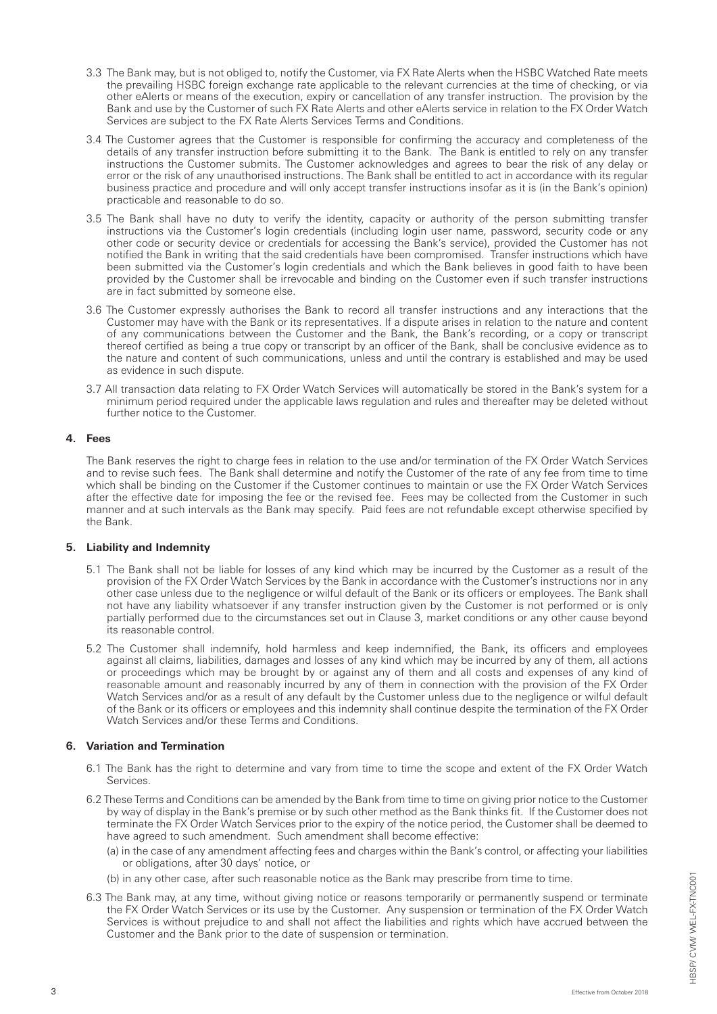- 3.3 The Bank may, but is not obliged to, notify the Customer, via FX Rate Alerts when the HSBC Watched Rate meets the prevailing HSBC foreign exchange rate applicable to the relevant currencies at the time of checking, or via other eAlerts or means of the execution, expiry or cancellation of any transfer instruction. The provision by the Bank and use by the Customer of such FX Rate Alerts and other eAlerts service in relation to the FX Order Watch Services are subject to the FX Rate Alerts Services Terms and Conditions.
- 3.4 The Customer agrees that the Customer is responsible for confirming the accuracy and completeness of the details of any transfer instruction before submitting it to the Bank. The Bank is entitled to rely on any transfer instructions the Customer submits. The Customer acknowledges and agrees to bear the risk of any delay or error or the risk of any unauthorised instructions. The Bank shall be entitled to act in accordance with its regular business practice and procedure and will only accept transfer instructions insofar as it is (in the Bank's opinion) practicable and reasonable to do so.
- 3.5 The Bank shall have no duty to verify the identity, capacity or authority of the person submitting transfer instructions via the Customer's login credentials (including login user name, password, security code or any other code or security device or credentials for accessing the Bank's service), provided the Customer has not notified the Bank in writing that the said credentials have been compromised. Transfer instructions which have been submitted via the Customer's login credentials and which the Bank believes in good faith to have been provided by the Customer shall be irrevocable and binding on the Customer even if such transfer instructions are in fact submitted by someone else.
- 3.6 The Customer expressly authorises the Bank to record all transfer instructions and any interactions that the Customer may have with the Bank or its representatives. If a dispute arises in relation to the nature and content of any communications between the Customer and the Bank, the Bank's recording, or a copy or transcript thereof certified as being a true copy or transcript by an officer of the Bank, shall be conclusive evidence as to the nature and content of such communications, unless and until the contrary is established and may be used as evidence in such dispute.
- 3.7 All transaction data relating to FX Order Watch Services will automatically be stored in the Bank's system for a minimum period required under the applicable laws regulation and rules and thereafter may be deleted without further notice to the Customer.

### **4. Fees**

The Bank reserves the right to charge fees in relation to the use and/or termination of the FX Order Watch Services and to revise such fees. The Bank shall determine and notify the Customer of the rate of any fee from time to time which shall be binding on the Customer if the Customer continues to maintain or use the FX Order Watch Services after the effective date for imposing the fee or the revised fee. Fees may be collected from the Customer in such manner and at such intervals as the Bank may specify. Paid fees are not refundable except otherwise specified by the Bank.

#### **5. Liability and Indemnity**

- 5.1 The Bank shall not be liable for losses of any kind which may be incurred by the Customer as a result of the provision of the FX Order Watch Services by the Bank in accordance with the Customer's instructions nor in any other case unless due to the negligence or wilful default of the Bank or its officers or employees. The Bank shall not have any liability whatsoever if any transfer instruction given by the Customer is not performed or is only partially performed due to the circumstances set out in Clause 3, market conditions or any other cause beyond its reasonable control.
- 5.2 The Customer shall indemnify, hold harmless and keep indemnified, the Bank, its officers and employees against all claims, liabilities, damages and losses of any kind which may be incurred by any of them, all actions or proceedings which may be brought by or against any of them and all costs and expenses of any kind of reasonable amount and reasonably incurred by any of them in connection with the provision of the FX Order Watch Services and/or as a result of any default by the Customer unless due to the negligence or wilful default of the Bank or its officers or employees and this indemnity shall continue despite the termination of the FX Order Watch Services and/or these Terms and Conditions.

### **6. Variation and Termination**

- 6.1 The Bank has the right to determine and vary from time to time the scope and extent of the FX Order Watch Services.
- 6.2 These Terms and Conditions can be amended by the Bank from time to time on giving prior notice to the Customer by way of display in the Bank's premise or by such other method as the Bank thinks fit. If the Customer does not terminate the FX Order Watch Services prior to the expiry of the notice period, the Customer shall be deemed to have agreed to such amendment. Such amendment shall become effective:
	- (a) in the case of any amendment affecting fees and charges within the Bank's control, or affecting your liabilities or obligations, after 30 days' notice, or
	- (b) in any other case, after such reasonable notice as the Bank may prescribe from time to time.
- 6.3 The Bank may, at any time, without giving notice or reasons temporarily or permanently suspend or terminate the FX Order Watch Services or its use by the Customer. Any suspension or termination of the FX Order Watch Services is without prejudice to and shall not affect the liabilities and rights which have accrued between the Customer and the Bank prior to the date of suspension or termination.